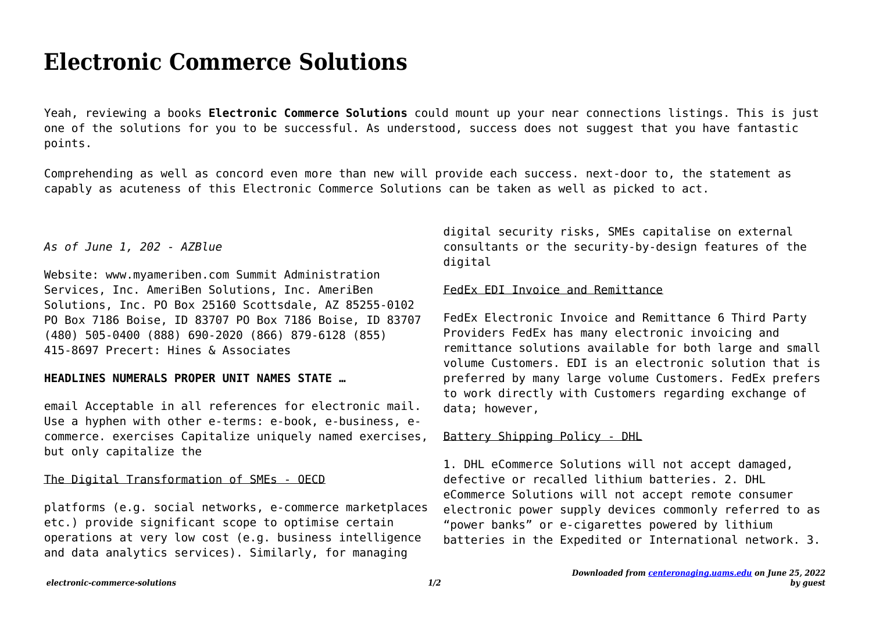# **Electronic Commerce Solutions**

Yeah, reviewing a books **Electronic Commerce Solutions** could mount up your near connections listings. This is just one of the solutions for you to be successful. As understood, success does not suggest that you have fantastic points.

Comprehending as well as concord even more than new will provide each success. next-door to, the statement as capably as acuteness of this Electronic Commerce Solutions can be taken as well as picked to act.

*As of June 1, 202 - AZBlue*

Website: www.myameriben.com Summit Administration Services, Inc. AmeriBen Solutions, Inc. AmeriBen Solutions, Inc. PO Box 25160 Scottsdale, AZ 85255-0102 PO Box 7186 Boise, ID 83707 PO Box 7186 Boise, ID 83707 (480) 505-0400 (888) 690-2020 (866) 879-6128 (855) 415-8697 Precert: Hines & Associates

#### **HEADLINES NUMERALS PROPER UNIT NAMES STATE …**

email Acceptable in all references for electronic mail. Use a hyphen with other e-terms: e-book, e-business, ecommerce. exercises Capitalize uniquely named exercises, but only capitalize the

## The Digital Transformation of SMEs - OECD

platforms (e.g. social networks, e-commerce marketplaces etc.) provide significant scope to optimise certain operations at very low cost (e.g. business intelligence and data analytics services). Similarly, for managing

digital security risks, SMEs capitalise on external consultants or the security-by-design features of the digital

#### FedEx EDI Invoice and Remittance

FedEx Electronic Invoice and Remittance 6 Third Party Providers FedEx has many electronic invoicing and remittance solutions available for both large and small volume Customers. EDI is an electronic solution that is preferred by many large volume Customers. FedEx prefers to work directly with Customers regarding exchange of data; however,

## Battery Shipping Policy - DHL

1. DHL eCommerce Solutions will not accept damaged, defective or recalled lithium batteries. 2. DHL eCommerce Solutions will not accept remote consumer electronic power supply devices commonly referred to as "power banks" or e-cigarettes powered by lithium batteries in the Expedited or International network. 3.